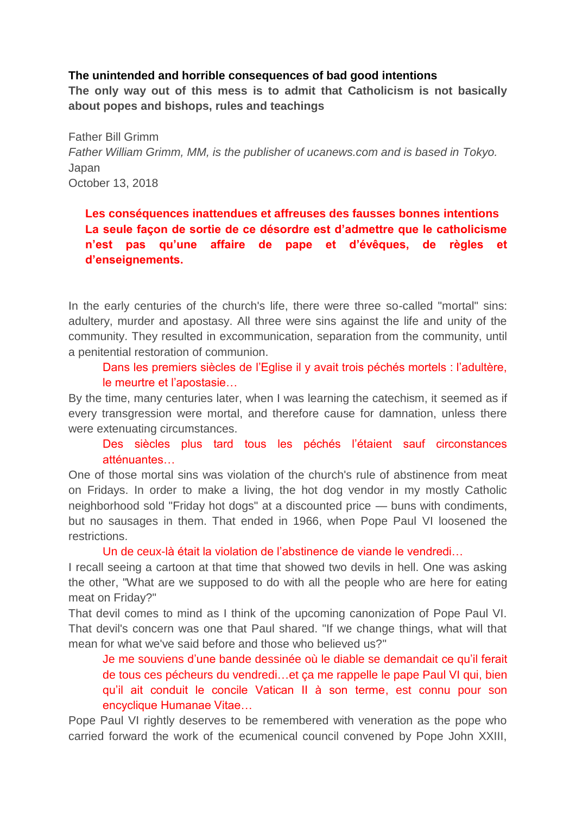## **The unintended and horrible consequences of bad good intentions**

**The only way out of this mess is to admit that Catholicism is not basically about popes and bishops, rules and teachings** 

Father Bill Grimm *Father William Grimm, MM, is the publisher of ucanews.com and is based in Tokyo.* Japan October 13, 2018

**Les conséquences inattendues et affreuses des fausses bonnes intentions La seule façon de sortie de ce désordre est d'admettre que le catholicisme n'est pas qu'une affaire de pape et d'évêques, de règles et d'enseignements.**

In the early centuries of the church's life, there were three so-called "mortal" sins: adultery, murder and apostasy. All three were sins against the life and unity of the community. They resulted in excommunication, separation from the community, until a penitential restoration of communion.

Dans les premiers siècles de l'Eglise il y avait trois péchés mortels : l'adultère, le meurtre et l'apostasie…

By the time, many centuries later, when I was learning the catechism, it seemed as if every transgression were mortal, and therefore cause for damnation, unless there were extenuating circumstances.

Des siècles plus tard tous les péchés l'étaient sauf circonstances atténuantes…

One of those mortal sins was violation of the church's rule of abstinence from meat on Fridays. In order to make a living, the hot dog vendor in my mostly Catholic neighborhood sold "Friday hot dogs" at a discounted price — buns with condiments, but no sausages in them. That ended in 1966, when Pope Paul VI loosened the restrictions.

Un de ceux-là était la violation de l'abstinence de viande le vendredi…

I recall seeing a cartoon at that time that showed two devils in hell. One was asking the other, "What are we supposed to do with all the people who are here for eating meat on Friday?"

That devil comes to mind as I think of the upcoming canonization of Pope Paul VI. That devil's concern was one that Paul shared. "If we change things, what will that mean for what we've said before and those who believed us?"

Je me souviens d'une bande dessinée où le diable se demandait ce qu'il ferait de tous ces pécheurs du vendredi…et ça me rappelle le pape Paul VI qui, bien qu'il ait conduit le concile Vatican II à son terme, est connu pour son encyclique Humanae Vitae…

Pope Paul VI rightly deserves to be remembered with veneration as the pope who carried forward the work of the ecumenical council convened by Pope John XXIII,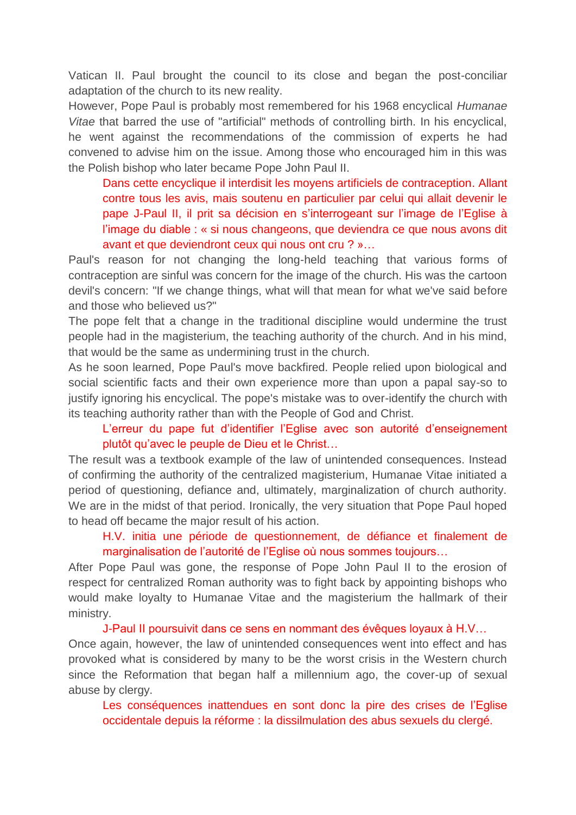Vatican II. Paul brought the council to its close and began the post-conciliar adaptation of the church to its new reality.

However, Pope Paul is probably most remembered for his 1968 encyclical *Humanae Vitae* that barred the use of "artificial" methods of controlling birth. In his encyclical, he went against the recommendations of the commission of experts he had convened to advise him on the issue. Among those who encouraged him in this was the Polish bishop who later became Pope John Paul II.

Dans cette encyclique il interdisit les moyens artificiels de contraception. Allant contre tous les avis, mais soutenu en particulier par celui qui allait devenir le pape J-Paul II, il prit sa décision en s'interrogeant sur l'image de l'Eglise à l'image du diable : « si nous changeons, que deviendra ce que nous avons dit avant et que deviendront ceux qui nous ont cru ? »…

Paul's reason for not changing the long-held teaching that various forms of contraception are sinful was concern for the image of the church. His was the cartoon devil's concern: "If we change things, what will that mean for what we've said before and those who believed us?"

The pope felt that a change in the traditional discipline would undermine the trust people had in the magisterium, the teaching authority of the church. And in his mind, that would be the same as undermining trust in the church.

As he soon learned, Pope Paul's move backfired. People relied upon biological and social scientific facts and their own experience more than upon a papal say-so to justify ignoring his encyclical. The pope's mistake was to over-identify the church with its teaching authority rather than with the People of God and Christ.

## L'erreur du pape fut d'identifier l'Eglise avec son autorité d'enseignement plutôt qu'avec le peuple de Dieu et le Christ…

The result was a textbook example of the law of unintended consequences. Instead of confirming the authority of the centralized magisterium, Humanae Vitae initiated a period of questioning, defiance and, ultimately, marginalization of church authority. We are in the midst of that period. Ironically, the very situation that Pope Paul hoped to head off became the major result of his action.

## H.V. initia une période de questionnement, de défiance et finalement de marginalisation de l'autorité de l'Eglise où nous sommes toujours…

After Pope Paul was gone, the response of Pope John Paul II to the erosion of respect for centralized Roman authority was to fight back by appointing bishops who would make loyalty to Humanae Vitae and the magisterium the hallmark of their ministry.

## J-Paul II poursuivit dans ce sens en nommant des évêques loyaux à H.V…

Once again, however, the law of unintended consequences went into effect and has provoked what is considered by many to be the worst crisis in the Western church since the Reformation that began half a millennium ago, the cover-up of sexual abuse by clergy.

Les conséquences inattendues en sont donc la pire des crises de l'Eglise occidentale depuis la réforme : la dissilmulation des abus sexuels du clergé.